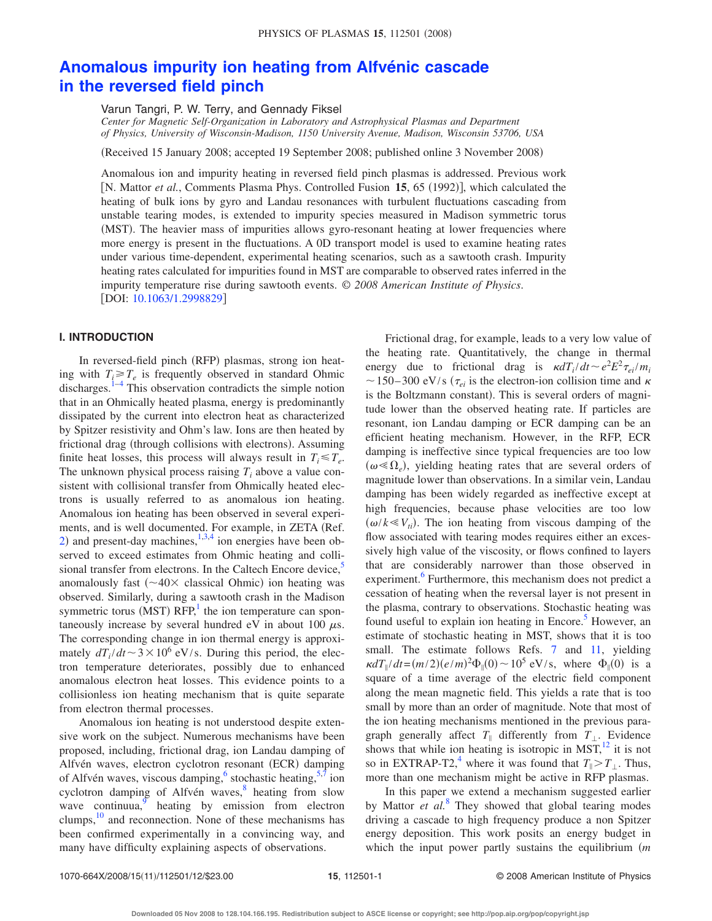# **[Anomalous impurity ion heating from Alfvénic cascade](http://dx.doi.org/10.1063/1.2998829) [in the reversed field pinch](http://dx.doi.org/10.1063/1.2998829)**

Varun Tangri, P. W. Terry, and Gennady Fiksel

*Center for Magnetic Self-Organization in Laboratory and Astrophysical Plasmas and Department of Physics, University of Wisconsin-Madison, 1150 University Avenue, Madison, Wisconsin 53706, USA*

(Received 15 January 2008; accepted 19 September 2008; published online 3 November 2008)

Anomalous ion and impurity heating in reversed field pinch plasmas is addressed. Previous work [N. Mattor *et al.*, Comments Plasma Phys. Controlled Fusion 15, 65 (1992)], which calculated the heating of bulk ions by gyro and Landau resonances with turbulent fluctuations cascading from unstable tearing modes, is extended to impurity species measured in Madison symmetric torus (MST). The heavier mass of impurities allows gyro-resonant heating at lower frequencies where more energy is present in the fluctuations. A 0D transport model is used to examine heating rates under various time-dependent, experimental heating scenarios, such as a sawtooth crash. Impurity heating rates calculated for impurities found in MST are comparable to observed rates inferred in the impurity temperature rise during sawtooth events. © *2008 American Institute of Physics*. [DOI: [10.1063/1.2998829](http://dx.doi.org/10.1063/1.2998829)]

# **I. INTRODUCTION**

In reversed-field pinch (RFP) plasmas, strong ion heating with  $T_i \geq T_e$  is frequently observed in standard Ohmic discharges.<sup>1–[4](#page-11-2)</sup> This observation contradicts the simple notion that in an Ohmically heated plasma, energy is predominantly dissipated by the current into electron heat as characterized by Spitzer resistivity and Ohm's law. Ions are then heated by frictional drag (through collisions with electrons). Assuming finite heat losses, this process will always result in  $T_i \le T_e$ . The unknown physical process raising  $T_i$  above a value consistent with collisional transfer from Ohmically heated electrons is usually referred to as anomalous ion heating. Anomalous ion heating has been observed in several experiments, and is well documented. For example, in ZETA (Ref. [2](#page-11-3)) and present-day machines,  $1,3,4$  $1,3,4$  $1,3,4$  ion energies have been observed to exceed estimates from Ohmic heating and collisional transfer from electrons. In the Caltech Encore device, $\frac{3}{5}$  $\frac{3}{5}$  $\frac{3}{5}$ anomalously fast  $({\sim}40{\times}$  classical Ohmic) ion heating was observed. Similarly, during a sawtooth crash in the Madison symmetric torus  $(MST) RFP<sup>1</sup>$  the ion temperature can spontaneously increase by several hundred eV in about 100  $\mu$ s. The corresponding change in ion thermal energy is approximately  $dT_i/dt \sim 3 \times 10^6$  eV/s. During this period, the electron temperature deteriorates, possibly due to enhanced anomalous electron heat losses. This evidence points to a collisionless ion heating mechanism that is quite separate from electron thermal processes.

Anomalous ion heating is not understood despite extensive work on the subject. Numerous mechanisms have been proposed, including, frictional drag, ion Landau damping of Alfvén waves, electron cyclotron resonant (ECR) damping of Alfvén waves, viscous damping, $6$  stochastic heating, $5/7$  $5/7$  ion cyclotron damping of Alfvén waves, $8$  heating from slow wave continuua, $\int$  heating by emission from electron clumps, $10$  and reconnection. None of these mechanisms has been confirmed experimentally in a convincing way, and many have difficulty explaining aspects of observations.

Frictional drag, for example, leads to a very low value of the heating rate. Quantitatively, the change in thermal energy due to frictional drag is  $\kappa dT_i/dt \sim e^2 E^2 \tau_{ei}/m_i$  $\sim$  150–300 eV/s ( $\tau_{ei}$  is the electron-ion collision time and  $\kappa$ is the Boltzmann constant). This is several orders of magnitude lower than the observed heating rate. If particles are resonant, ion Landau damping or ECR damping can be an efficient heating mechanism. However, in the RFP, ECR damping is ineffective since typical frequencies are too low  $(\omega \ll \Omega_e)$ , yielding heating rates that are several orders of magnitude lower than observations. In a similar vein, Landau damping has been widely regarded as ineffective except at high frequencies, because phase velocities are too low  $(\omega/k \ll V_{ti})$ . The ion heating from viscous damping of the flow associated with tearing modes requires either an excessively high value of the viscosity, or flows confined to layers that are considerably narrower than those observed in experiment.<sup>6</sup> Furthermore, this mechanism does not predict a cessation of heating when the reversal layer is not present in the plasma, contrary to observations. Stochastic heating was found useful to explain ion heating in Encore.<sup>5</sup> However, an estimate of stochastic heating in MST, shows that it is too small. The estimate follows Refs. [7](#page-11-7) and [11,](#page-11-10) yielding  $\kappa dT_{\parallel}/dt = (m/2)(e/m)^2 \Phi_{\parallel}(0) \sim 10^5 \text{ eV/s}, \text{ where } \Phi_{\parallel}(0) \text{ is a}$ square of a time average of the electric field component along the mean magnetic field. This yields a rate that is too small by more than an order of magnitude. Note that most of the ion heating mechanisms mentioned in the previous paragraph generally affect  $T_{\parallel}$  differently from  $T_{\perp}$ . Evidence shows that while ion heating is isotropic in MST, $^{12}$  it is not so in EXTRAP-T2,<sup>4</sup> where it was found that  $T_{\parallel} > T_{\perp}$ . Thus, more than one mechanism might be active in RFP plasmas.

In this paper we extend a mechanism suggested earlier by Mattor *et al.*[8](#page-11-0) They showed that global tearing modes driving a cascade to high frequency produce a non Spitzer energy deposition. This work posits an energy budget in which the input power partly sustains the equilibrium  $(m)$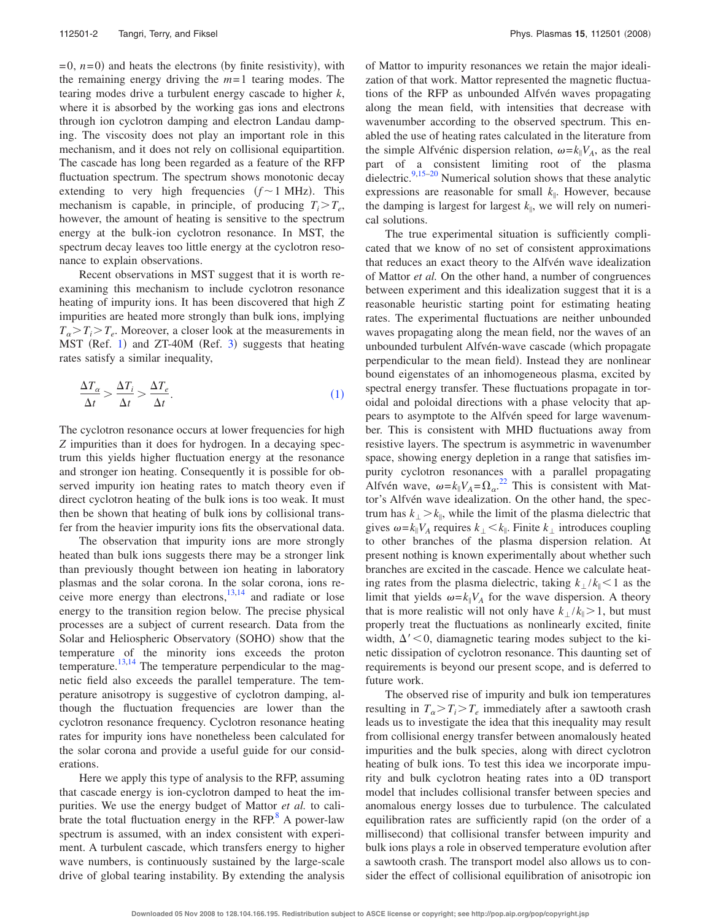$= 0$ ,  $n = 0$ ) and heats the electrons (by finite resistivity), with the remaining energy driving the *m*= 1 tearing modes. The tearing modes drive a turbulent energy cascade to higher *k*, where it is absorbed by the working gas ions and electrons through ion cyclotron damping and electron Landau damping. The viscosity does not play an important role in this mechanism, and it does not rely on collisional equipartition. The cascade has long been regarded as a feature of the RFP fluctuation spectrum. The spectrum shows monotonic decay extending to very high frequencies  $(f \sim 1 \text{ MHz})$ . This mechanism is capable, in principle, of producing  $T_i > T_e$ , however, the amount of heating is sensitive to the spectrum energy at the bulk-ion cyclotron resonance. In MST, the spectrum decay leaves too little energy at the cyclotron resonance to explain observations.

Recent observations in MST suggest that it is worth reexamining this mechanism to include cyclotron resonance heating of impurity ions. It has been discovered that high *Z* impurities are heated more strongly than bulk ions, implying  $T_a > T_i > T_e$ . Moreover, a closer look at the measurements in  $MST$  (Ref. [1](#page-11-1)) and ZT-40M (Ref. [3](#page-11-4)) suggests that heating rates satisfy a similar inequality,

<span id="page-1-0"></span>
$$
\frac{\Delta T_{\alpha}}{\Delta t} > \frac{\Delta T_i}{\Delta t} > \frac{\Delta T_e}{\Delta t}.
$$
\n(1)

The cyclotron resonance occurs at lower frequencies for high *Z* impurities than it does for hydrogen. In a decaying spectrum this yields higher fluctuation energy at the resonance and stronger ion heating. Consequently it is possible for observed impurity ion heating rates to match theory even if direct cyclotron heating of the bulk ions is too weak. It must then be shown that heating of bulk ions by collisional transfer from the heavier impurity ions fits the observational data.

The observation that impurity ions are more strongly heated than bulk ions suggests there may be a stronger link than previously thought between ion heating in laboratory plasmas and the solar corona. In the solar corona, ions receive more energy than electrons, $13,14$  $13,14$  and radiate or lose energy to the transition region below. The precise physical processes are a subject of current research. Data from the Solar and Heliospheric Observatory (SOHO) show that the temperature of the minority ions exceeds the proton temperature.<sup>13[,14](#page-11-14)</sup> The temperature perpendicular to the magnetic field also exceeds the parallel temperature. The temperature anisotropy is suggestive of cyclotron damping, although the fluctuation frequencies are lower than the cyclotron resonance frequency. Cyclotron resonance heating rates for impurity ions have nonetheless been calculated for the solar corona and provide a useful guide for our considerations.

Here we apply this type of analysis to the RFP, assuming that cascade energy is ion-cyclotron damped to heat the impurities. We use the energy budget of Mattor *et al.* to calibrate the total fluctuation energy in the RFP. $\delta$  A power-law spectrum is assumed, with an index consistent with experiment. A turbulent cascade, which transfers energy to higher wave numbers, is continuously sustained by the large-scale drive of global tearing instability. By extending the analysis of Mattor to impurity resonances we retain the major idealization of that work. Mattor represented the magnetic fluctuations of the RFP as unbounded Alfvén waves propagating along the mean field, with intensities that decrease with wavenumber according to the observed spectrum. This enabled the use of heating rates calculated in the literature from the simple Alfvénic dispersion relation,  $\omega = k_{\parallel} V_A$ , as the real part of a consistent limiting root of the plasma dielectric.<sup>9,[15](#page-11-15)[–20](#page-11-16)</sup> Numerical solution shows that these analytic expressions are reasonable for small  $k_{\parallel}$ . However, because the damping is largest for largest  $k_{\parallel}$ , we will rely on numerical solutions.

The true experimental situation is sufficiently complicated that we know of no set of consistent approximations that reduces an exact theory to the Alfvén wave idealization of Mattor *et al.* On the other hand, a number of congruences between experiment and this idealization suggest that it is a reasonable heuristic starting point for estimating heating rates. The experimental fluctuations are neither unbounded waves propagating along the mean field, nor the waves of an unbounded turbulent Alfvén-wave cascade (which propagate perpendicular to the mean field). Instead they are nonlinear bound eigenstates of an inhomogeneous plasma, excited by spectral energy transfer. These fluctuations propagate in toroidal and poloidal directions with a phase velocity that appears to asymptote to the Alfvén speed for large wavenumber. This is consistent with MHD fluctuations away from resistive layers. The spectrum is asymmetric in wavenumber space, showing energy depletion in a range that satisfies impurity cyclotron resonances with a parallel propagating Alfvén wave,  $\omega = k_{\parallel} V_A = \Omega_{\alpha}^{22}$  $\omega = k_{\parallel} V_A = \Omega_{\alpha}^{22}$  $\omega = k_{\parallel} V_A = \Omega_{\alpha}^{22}$  This is consistent with Mattor's Alfvén wave idealization. On the other hand, the spectrum has  $k_{\perp} > k_{\parallel}$ , while the limit of the plasma dielectric that gives  $\omega = k_{\parallel} V_A$  requires  $k_{\perp} < k_{\parallel}$ . Finite  $k_{\perp}$  introduces coupling to other branches of the plasma dispersion relation. At present nothing is known experimentally about whether such branches are excited in the cascade. Hence we calculate heating rates from the plasma dielectric, taking  $k_{\perp}/k_{\parallel} < 1$  as the limit that yields  $\omega = k_{\parallel} V_A$  for the wave dispersion. A theory that is more realistic will not only have  $k_{\perp}/k_{\parallel} > 1$ , but must properly treat the fluctuations as nonlinearly excited, finite width,  $\Delta'$  < 0, diamagnetic tearing modes subject to the kinetic dissipation of cyclotron resonance. This daunting set of requirements is beyond our present scope, and is deferred to future work.

The observed rise of impurity and bulk ion temperatures resulting in  $T_a > T_i > T_e$  immediately after a sawtooth crash leads us to investigate the idea that this inequality may result from collisional energy transfer between anomalously heated impurities and the bulk species, along with direct cyclotron heating of bulk ions. To test this idea we incorporate impurity and bulk cyclotron heating rates into a 0D transport model that includes collisional transfer between species and anomalous energy losses due to turbulence. The calculated equilibration rates are sufficiently rapid (on the order of a millisecond) that collisional transfer between impurity and bulk ions plays a role in observed temperature evolution after a sawtooth crash. The transport model also allows us to consider the effect of collisional equilibration of anisotropic ion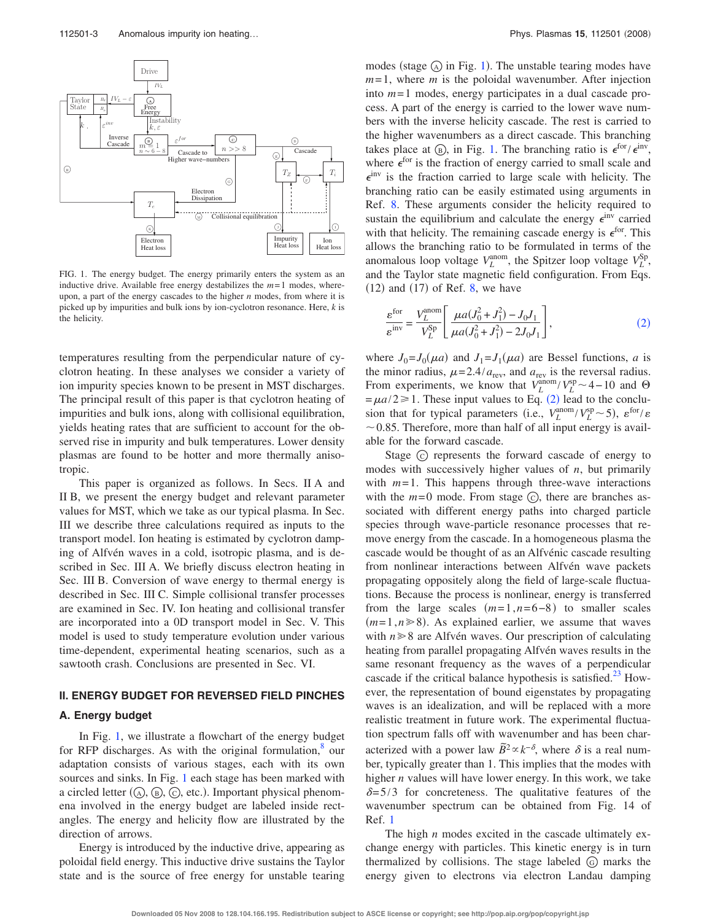<span id="page-2-0"></span>

FIG. 1. The energy budget. The energy primarily enters the system as an inductive drive. Available free energy destabilizes the  $m=1$  modes, whereupon, a part of the energy cascades to the higher *n* modes, from where it is picked up by impurities and bulk ions by ion-cyclotron resonance. Here, *k* is the helicity.

temperatures resulting from the perpendicular nature of cyclotron heating. In these analyses we consider a variety of ion impurity species known to be present in MST discharges. The principal result of this paper is that cyclotron heating of impurities and bulk ions, along with collisional equilibration, yields heating rates that are sufficient to account for the observed rise in impurity and bulk temperatures. Lower density plasmas are found to be hotter and more thermally anisotropic.

This paper is organized as follows. In Secs. II A and II B, we present the energy budget and relevant parameter values for MST, which we take as our typical plasma. In Sec. III we describe three calculations required as inputs to the transport model. Ion heating is estimated by cyclotron damping of Alfvén waves in a cold, isotropic plasma, and is described in Sec. III A. We briefly discuss electron heating in Sec. III B. Conversion of wave energy to thermal energy is described in Sec. III C. Simple collisional transfer processes are examined in Sec. IV. Ion heating and collisional transfer are incorporated into a 0D transport model in Sec. V. This model is used to study temperature evolution under various time-dependent, experimental heating scenarios, such as a sawtooth crash. Conclusions are presented in Sec. VI.

## **II. ENERGY BUDGET FOR REVERSED FIELD PINCHES**

# **A. Energy budget**

In Fig. [1,](#page-2-0) we illustrate a flowchart of the energy budget for RFP discharges. As with the original formulation,<sup>8</sup> our adaptation consists of various stages, each with its own sources and sinks. In Fig. [1](#page-2-0) each stage has been marked with a circled letter  $(Q, Q), C$ , etc.). Important physical phenomena involved in the energy budget are labeled inside rectangles. The energy and helicity flow are illustrated by the direction of arrows.

Energy is introduced by the inductive drive, appearing as poloidal field energy. This inductive drive sustains the Taylor state and is the source of free energy for unstable tearing modes (stage  $\textcircled{a}$  in Fig. [1](#page-2-0)). The unstable tearing modes have  $m=1$ , where  $m$  is the poloidal wavenumber. After injection into *m*= 1 modes, energy participates in a dual cascade process. A part of the energy is carried to the lower wave numbers with the inverse helicity cascade. The rest is carried to the higher wavenumbers as a direct cascade. This branching takes place at  $\circled{B}$ , in Fig. [1.](#page-2-0) The branching ratio is  $\epsilon^{\text{for}}/\epsilon^{\text{inv}}$ , where  $\epsilon^{\text{for}}$  is the fraction of energy carried to small scale and  $\epsilon^{\text{inv}}$  is the fraction carried to large scale with helicity. The branching ratio can be easily estimated using arguments in Ref. [8.](#page-11-0) These arguments consider the helicity required to sustain the equilibrium and calculate the energy  $\epsilon^{\text{inv}}$  carried with that helicity. The remaining cascade energy is  $\epsilon^{\text{for}}$ . This allows the branching ratio to be formulated in terms of the anomalous loop voltage  $V_L^{\text{anom}}$ , the Spitzer loop voltage  $V_L^{\text{Sp}}$ , and the Taylor state magnetic field configuration. From Eqs.  $(12)$  and  $(17)$  of Ref. [8,](#page-11-0) we have

<span id="page-2-1"></span>
$$
\frac{\varepsilon^{\text{for}}}{\varepsilon^{\text{inv}}} = \frac{V_L^{\text{anom}}}{V_L^{\text{Sp}}} \left[ \frac{\mu a (J_0^2 + J_1^2) - J_0 J_1}{\mu a (J_0^2 + J_1^2) - 2J_0 J_1} \right],\tag{2}
$$

where  $J_0 = J_0(\mu a)$  and  $J_1 = J_1(\mu a)$  are Bessel functions, *a* is the minor radius,  $\mu = 2.4/a_{\text{rev}}$ , and  $a_{\text{rev}}$  is the reversal radius. From experiments, we know that  $V_L^{\text{anom}}/V_L^{\text{sp}} \sim 4-10$  and  $\Theta$  $=\mu a/2 \geq 1$  $=\mu a/2 \geq 1$  $=\mu a/2 \geq 1$ . These input values to Eq. (2) lead to the conclusion that for typical parameters (i.e.,  $V_L^{\text{anom}}/V_L^{\text{sp}} \sim 5$ ),  $\varepsilon^{\text{for}}/\varepsilon$  $\sim$  0.85. Therefore, more than half of all input energy is available for the forward cascade.

Stage  $\odot$  represents the forward cascade of energy to modes with successively higher values of *n*, but primarily with  $m=1$ . This happens through three-wave interactions with the  $m=0$  mode. From stage  $\odot$ , there are branches associated with different energy paths into charged particle species through wave-particle resonance processes that remove energy from the cascade. In a homogeneous plasma the cascade would be thought of as an Alfvénic cascade resulting from nonlinear interactions between Alfvén wave packets propagating oppositely along the field of large-scale fluctuations. Because the process is nonlinear, energy is transferred from the large scales  $(m=1, n=6-8)$  to smaller scales  $(m=1, n \ge 8)$ . As explained earlier, we assume that waves with  $n \geq 8$  are Alfvén waves. Our prescription of calculating heating from parallel propagating Alfvén waves results in the same resonant frequency as the waves of a perpendicular cascade if the critical balance hypothesis is satisfied.<sup>[23](#page-11-17)</sup> However, the representation of bound eigenstates by propagating waves is an idealization, and will be replaced with a more realistic treatment in future work. The experimental fluctuation spectrum falls off with wavenumber and has been characterized with a power law  $\tilde{B}^2 \propto k^{-\delta}$ , where  $\delta$  is a real number, typically greater than 1. This implies that the modes with higher *n* values will have lower energy. In this work, we take  $6=5/3$  for concreteness. The qualitative features of the wavenumber spectrum can be obtained from Fig. 14 of Ref. [1](#page-11-1)

The high *n* modes excited in the cascade ultimately exchange energy with particles. This kinetic energy is in turn thermalized by collisions. The stage labeled  $\odot$  marks the energy given to electrons via electron Landau damping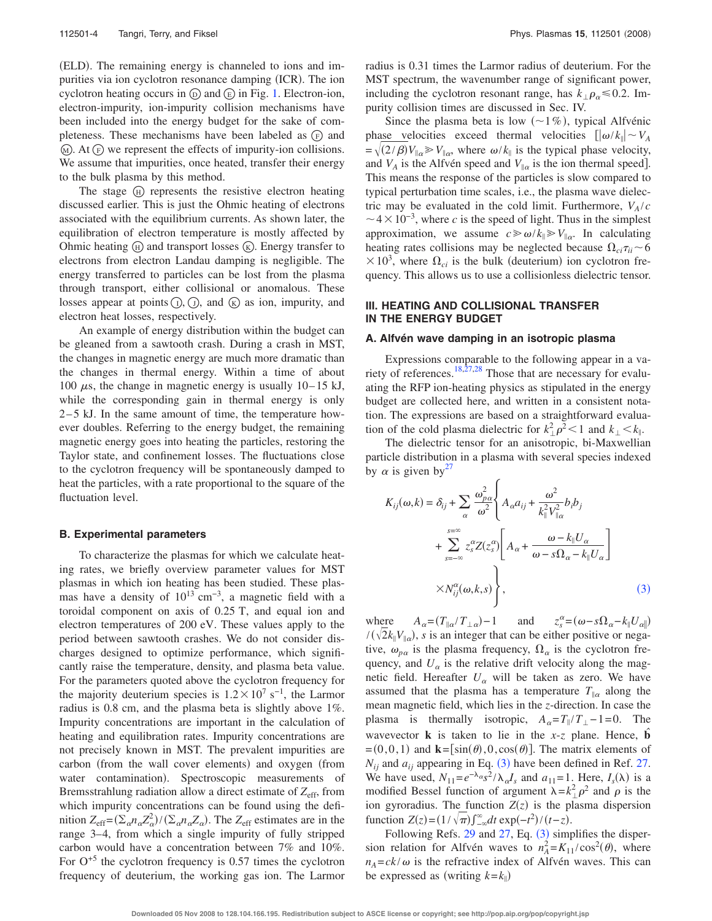(ELD). The remaining energy is channeled to ions and impurities via ion cyclotron resonance damping (ICR). The ion cyclotron heating occurs in  $\odot$  and  $\odot$  in Fig. [1.](#page-2-0) Electron-ion, electron-impurity, ion-impurity collision mechanisms have been included into the energy budget for the sake of completeness. These mechanisms have been labeled as  $(F)$  and  $(M)$ . At  $(F)$  we represent the effects of impurity-ion collisions. We assume that impurities, once heated, transfer their energy to the bulk plasma by this method.

The stage  $(H)$  represents the resistive electron heating discussed earlier. This is just the Ohmic heating of electrons associated with the equilibrium currents. As shown later, the equilibration of electron temperature is mostly affected by Ohmic heating  $(H)$  and transport losses  $(K)$ . Energy transfer to electrons from electron Landau damping is negligible. The energy transferred to particles can be lost from the plasma through transport, either collisional or anomalous. These losses appear at points  $(i)$ ,  $(j)$ , and  $(k)$  as ion, impurity, and electron heat losses, respectively.

An example of energy distribution within the budget can be gleaned from a sawtooth crash. During a crash in MST, the changes in magnetic energy are much more dramatic than the changes in thermal energy. Within a time of about 100  $\mu$ s, the change in magnetic energy is usually 10–15 kJ, while the corresponding gain in thermal energy is only  $2-5$  kJ. In the same amount of time, the temperature however doubles. Referring to the energy budget, the remaining magnetic energy goes into heating the particles, restoring the Taylor state, and confinement losses. The fluctuations close to the cyclotron frequency will be spontaneously damped to heat the particles, with a rate proportional to the square of the fluctuation level.

#### **B. Experimental parameters**

To characterize the plasmas for which we calculate heating rates, we briefly overview parameter values for MST plasmas in which ion heating has been studied. These plasmas have a density of  $10^{13}$  cm<sup>-3</sup>, a magnetic field with a toroidal component on axis of 0.25 T, and equal ion and electron temperatures of 200 eV. These values apply to the period between sawtooth crashes. We do not consider discharges designed to optimize performance, which significantly raise the temperature, density, and plasma beta value. For the parameters quoted above the cyclotron frequency for the majority deuterium species is  $1.2 \times 10^7$  s<sup>-1</sup>, the Larmor radius is 0.8 cm, and the plasma beta is slightly above 1%. Impurity concentrations are important in the calculation of heating and equilibration rates. Impurity concentrations are not precisely known in MST. The prevalent impurities are carbon (from the wall cover elements) and oxygen (from water contamination). Spectroscopic measurements of Bremsstrahlung radiation allow a direct estimate of *Z*eff, from which impurity concentrations can be found using the definition  $Z_{\text{eff}} = (\sum_{\alpha} n_{\alpha} Z_{\alpha}^2)/(\sum_{\alpha} n_{\alpha} Z_{\alpha})$ . The  $Z_{\text{eff}}$  estimates are in the range 3–4, from which a single impurity of fully stripped carbon would have a concentration between 7% and 10%. For  $O^{+5}$  the cyclotron frequency is 0.57 times the cyclotron frequency of deuterium, the working gas ion. The Larmor radius is 0.31 times the Larmor radius of deuterium. For the MST spectrum, the wavenumber range of significant power, including the cyclotron resonant range, has  $k_{\perp} \rho_{\alpha} \le 0.2$ . Impurity collision times are discussed in Sec. IV.

Since the plasma beta is low  $(\sim 1\%)$ , typical Alfvénic phase velocities exceed thermal velocities  $\left[ |\omega/k_{\parallel}| \sim V_A \right]$  $= \sqrt{(2/\beta)} V_{\parallel \alpha} \gg V_{\parallel \alpha}$ , where  $\omega / k_{\parallel}$  is the typical phase velocity, and  $V_A$  is the Alfvén speed and  $V_{\parallel \alpha}$  is the ion thermal speed]. This means the response of the particles is slow compared to typical perturbation time scales, i.e., the plasma wave dielectric may be evaluated in the cold limit. Furthermore,  $V_A/c$  $\sim$  4  $\times$  10<sup>-3</sup>, where *c* is the speed of light. Thus in the simplest approximation, we assume  $c \ge \omega / k_{\parallel} \ge V_{\parallel \alpha}$ . In calculating heating rates collisions may be neglected because  $\Omega_{ci}\tau_{ii} \sim 6$  $\times 10^3$ , where  $\Omega_{ci}$  is the bulk (deuterium) ion cyclotron frequency. This allows us to use a collisionless dielectric tensor.

# **III. HEATING AND COLLISIONAL TRANSFER IN THE ENERGY BUDGET**

### **A. Alfvén wave damping in an isotropic plasma**

Expressions comparable to the following appear in a va-riety of references.<sup>[18,](#page-11-18)[27](#page-11-19)[,28](#page-11-20)</sup> Those that are necessary for evaluating the RFP ion-heating physics as stipulated in the energy budget are collected here, and written in a consistent notation. The expressions are based on a straightforward evaluation of the cold plasma dielectric for  $k_{\perp}^2 \rho^2 < 1$  and  $k_{\perp} < k_{\parallel}$ .

The dielectric tensor for an anisotropic, bi-Maxwellian particle distribution in a plasma with several species indexed by  $\alpha$  is given by<sup>27</sup>

<span id="page-3-0"></span>
$$
K_{ij}(\omega, k) = \delta_{ij} + \sum_{\alpha} \frac{\omega_{p\alpha}^2}{\omega^2} \left\{ A_{\alpha} a_{ij} + \frac{\omega^2}{k_{\parallel}^2 V_{\parallel \alpha}^2} b_i b_j + \sum_{s=-\infty}^{s=\infty} z_s^{\alpha} Z(z_s^{\alpha}) \left[ A_{\alpha} + \frac{\omega - k_{\parallel} U_{\alpha}}{\omega - s \Omega_{\alpha} - k_{\parallel} U_{\alpha}} \right] \times N_{ij}^{\alpha}(\omega, k, s) \right\},
$$
\n(3)

where  $A_{\alpha} = (T_{\parallel \alpha}/T_{\perp \alpha}) - 1$  and  $z_s^{\alpha} = (\omega - s\Omega_{\alpha} - k_{\parallel}U_{\alpha\parallel})$  $\frac{1}{\sqrt{2k_{\parallel}V_{\parallel\alpha}}}$ , *s* is an integer that can be either positive or negative,  $\omega_{p\alpha}$  is the plasma frequency,  $\Omega_{\alpha}$  is the cyclotron frequency, and  $U_{\alpha}$  is the relative drift velocity along the magnetic field. Hereafter  $U_{\alpha}$  will be taken as zero. We have assumed that the plasma has a temperature  $T_{\parallel \alpha}$  along the mean magnetic field, which lies in the *z*-direction. In case the plasma is thermally isotropic,  $A_{\alpha} = T_{\parallel}/T_{\perp} - 1 = 0$ . The wavevector **k** is taken to lie in the *x*-*z* plane. Hence,  $\hat{\mathbf{b}}$  $=(0,0,1)$  and  $\mathbf{k}=[\sin(\theta), 0, \cos(\theta)].$  The matrix elements of  $N_{ii}$  and  $a_{ii}$  appearing in Eq. ([3](#page-3-0)) have been defined in Ref. [27.](#page-11-19) We have used,  $N_{11}=e^{-\lambda_{\alpha}s^2}/\lambda_{\alpha}I_s$  and  $a_{11}=1$ . Here,  $I_s(\lambda)$  is a modified Bessel function of argument  $\lambda = k_{\perp}^2 \rho^2$  and  $\rho$  is the ion gyroradius. The function  $Z(z)$  is the plasma dispersion function  $Z(z) = (1/\sqrt{\pi}) \int_{-\infty}^{\infty} dt \exp(-t^2)/(t-z)$ .

Following Refs.  $29$  and  $27$ , Eq.  $(3)$  $(3)$  $(3)$  simplifies the dispersion relation for Alfvén waves to  $n_A^2 = K_{11} / \cos^2(\theta)$ , where  $n_A = ck/\omega$  is the refractive index of Alfvén waves. This can be expressed as (writing  $k = k_{\parallel}$ )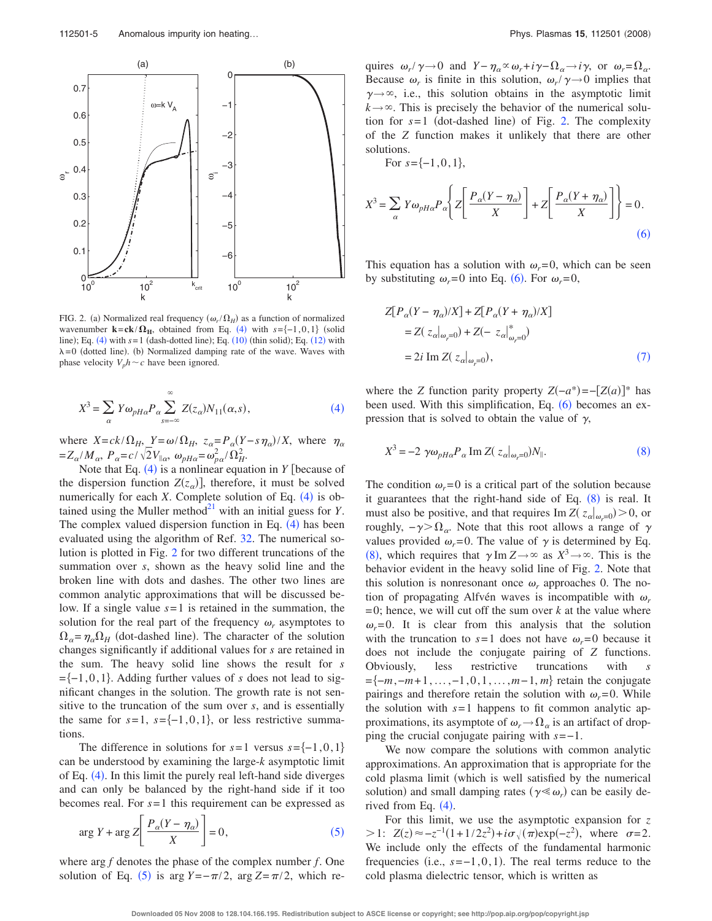<span id="page-4-1"></span>

FIG. 2. (a) Normalized real frequency  $(\omega_r/\Omega_H)$  as a function of normalized wavenumber  $\mathbf{k} = \mathbf{ck} / \mathbf{\Omega}_{\mathbf{H}}$ , obtained from Eq. ([4](#page-4-0)) with  $s = \{-1, 0, 1\}$  (solid line); Eq.  $(4)$  $(4)$  $(4)$  with  $s=1$  (dash-dotted line); Eq.  $(10)$  $(10)$  $(10)$  (thin solid); Eq.  $(12)$  $(12)$  $(12)$  with  $\lambda = 0$  (dotted line). (b) Normalized damping rate of the wave. Waves with phase velocity  $V_p h \sim c$  have been ignored.

<span id="page-4-0"></span>
$$
X^3 = \sum_{\alpha} Y \omega_{pH\alpha} P_{\alpha} \sum_{s=-\infty}^{\infty} Z(z_{\alpha}) N_{11}(\alpha, s), \qquad (4)
$$

where  $X = ck/\Omega_H$ ,  $Y = \omega/\Omega_H$ ,  $z_\alpha = P_\alpha(Y - s\eta_\alpha)/X$ , where  $\eta_\alpha$  $=Z_{\alpha}/M_{\alpha}, P_{\alpha}=c/\sqrt{2}V_{\parallel\alpha}, \omega_{\rho H\alpha}=\omega_{\rho\alpha}^2/\Omega_H^2.$ 

Note that Eq.  $(4)$  $(4)$  $(4)$  is a nonlinear equation in *Y* [because of the dispersion function  $Z(z_\alpha)$ , therefore, it must be solved numerically for each *X*. Complete solution of Eq.  $(4)$  $(4)$  $(4)$  is ob-tained using the Muller method<sup>[21](#page-11-22)</sup> with an initial guess for  $Y$ . The complex valued dispersion function in Eq.  $(4)$  $(4)$  $(4)$  has been evaluated using the algorithm of Ref. [32.](#page-11-23) The numerical solution is plotted in Fig. [2](#page-4-1) for two different truncations of the summation over *s*, shown as the heavy solid line and the broken line with dots and dashes. The other two lines are common analytic approximations that will be discussed below. If a single value *s*= 1 is retained in the summation, the solution for the real part of the frequency  $\omega_r$  asymptotes to  $\Omega_{\alpha} = \eta_{\alpha} \Omega_H$  (dot-dashed line). The character of the solution changes significantly if additional values for *s* are retained in the sum. The heavy solid line shows the result for *s* ={-1, 0, 1}. Adding further values of *s* does not lead to significant changes in the solution. The growth rate is not sensitive to the truncation of the sum over *s*, and is essentially the same for  $s=1$ ,  $s=\{-1,0,1\}$ , or less restrictive summations.

The difference in solutions for  $s=1$  versus  $s=\{-1,0,1\}$ can be understood by examining the large-*k* asymptotic limit of Eq.  $(4)$  $(4)$  $(4)$ . In this limit the purely real left-hand side diverges and can only be balanced by the right-hand side if it too becomes real. For *s*= 1 this requirement can be expressed as

<span id="page-4-2"></span>
$$
\arg Y + \arg Z \left[ \frac{P_{\alpha}(Y - \eta_{\alpha})}{X} \right] = 0,\tag{5}
$$

where arg *f* denotes the phase of the complex number *f*. One solution of Eq. ([5](#page-4-2)) is arg *Y* =− $\pi/2$ , arg *Z* =  $\pi/2$ , which requires  $\omega_r/\gamma \to 0$  and  $Y - \eta_\alpha \propto \omega_r + i\gamma - \Omega_\alpha \to i\gamma$ , or  $\omega_r = \Omega_\alpha$ . Because  $\omega_r$  is finite in this solution,  $\omega_r/\gamma \rightarrow 0$  implies that  $\gamma \rightarrow \infty$ , i.e., this solution obtains in the asymptotic limit  $k \rightarrow \infty$ . This is precisely the behavior of the numerical solution for  $s=1$  (dot-dashed line) of Fig. [2.](#page-4-1) The complexity of the *Z* function makes it unlikely that there are other solutions.

For 
$$
s = \{-1, 0, 1\}
$$
,

<span id="page-4-3"></span>
$$
X^{3} = \sum_{\alpha} Y \omega_{pH\alpha} P_{\alpha} \left\{ Z \left[ \frac{P_{\alpha}(Y - \eta_{\alpha})}{X} \right] + Z \left[ \frac{P_{\alpha}(Y + \eta_{\alpha})}{X} \right] \right\} = 0.
$$
\n(6)

This equation has a solution with  $\omega_r = 0$ , which can be seen by substituting  $\omega_r = 0$  into Eq. ([6](#page-4-3)). For  $\omega_r = 0$ ,

<span id="page-4-4"></span>
$$
Z[P_{\alpha}(Y - \eta_{\alpha})/X] + Z[P_{\alpha}(Y + \eta_{\alpha})/X]
$$
  
= Z( $z_{\alpha}|_{\omega_r=0}$ ) + Z(- $z_{\alpha}|_{\omega_r=0}^*$ )  
= 2*i* Im Z( $z_{\alpha}|_{\omega_r=0}$ ), (7)

where the *Z* function parity property  $Z(-a^*) = -[Z(a)]^*$  has been used. With this simplification, Eq.  $(6)$  $(6)$  $(6)$  becomes an expression that is solved to obtain the value of  $\gamma$ ,

<span id="page-4-5"></span>
$$
X^3 = -2 \gamma \omega_{pH\alpha} P_\alpha \operatorname{Im} Z(\left. z_\alpha \right|_{\omega_r = 0}) N_{\parallel}. \tag{8}
$$

The condition  $\omega_r = 0$  is a critical part of the solution because it guarantees that the right-hand side of Eq.  $(8)$  $(8)$  $(8)$  is real. It must also be positive, and that requires  $\text{Im } Z(z_{\alpha}|_{\omega_r=0}) > 0$ , or roughly,  $-\gamma > \Omega_{\alpha}$ . Note that this root allows a range of  $\gamma$ values provided  $\omega_r = 0$ . The value of  $\gamma$  is determined by Eq. ([8](#page-4-5)), which requires that  $\gamma \text{Im } Z \rightarrow \infty$  as  $X^3 \rightarrow \infty$ . This is the behavior evident in the heavy solid line of Fig. [2.](#page-4-1) Note that this solution is nonresonant once  $\omega_r$  approaches 0. The notion of propagating Alfvén waves is incompatible with  $\omega_r$  $= 0$ ; hence, we will cut off the sum over *k* at the value where  $\omega_r$ =0. It is clear from this analysis that the solution with the truncation to  $s=1$  does not have  $\omega_r=0$  because it does not include the conjugate pairing of *Z* functions. Obviously, less restrictive truncations with *s* =/−*m*,−*m*+ 1, ... ,−1, 0, 1, ... ,*m*−1, *m*0 retain the conjugate pairings and therefore retain the solution with  $\omega_r = 0$ . While the solution with  $s = 1$  happens to fit common analytic approximations, its asymptote of  $\omega_r \rightarrow \Omega_\alpha$  is an artifact of dropping the crucial conjugate pairing with *s*=−1.

We now compare the solutions with common analytic approximations. An approximation that is appropriate for the cold plasma limit (which is well satisfied by the numerical solution) and small damping rates  $(\gamma \ll \omega_r)$  can be easily derived from Eq.  $(4)$  $(4)$  $(4)$ .

For this limit, we use the asymptotic expansion for *z*  $>$  1: *Z*(*z*) ≈ −*z*<sup>-1</sup>(1+1/2*z*<sup>2</sup>)+*i* $σ$   $\sqrt{(π)}exp(-z^2)$ , where  $σ=2$ . We include only the effects of the fundamental harmonic frequencies (i.e.,  $s=-1, 0, 1$ ). The real terms reduce to the cold plasma dielectric tensor, which is written as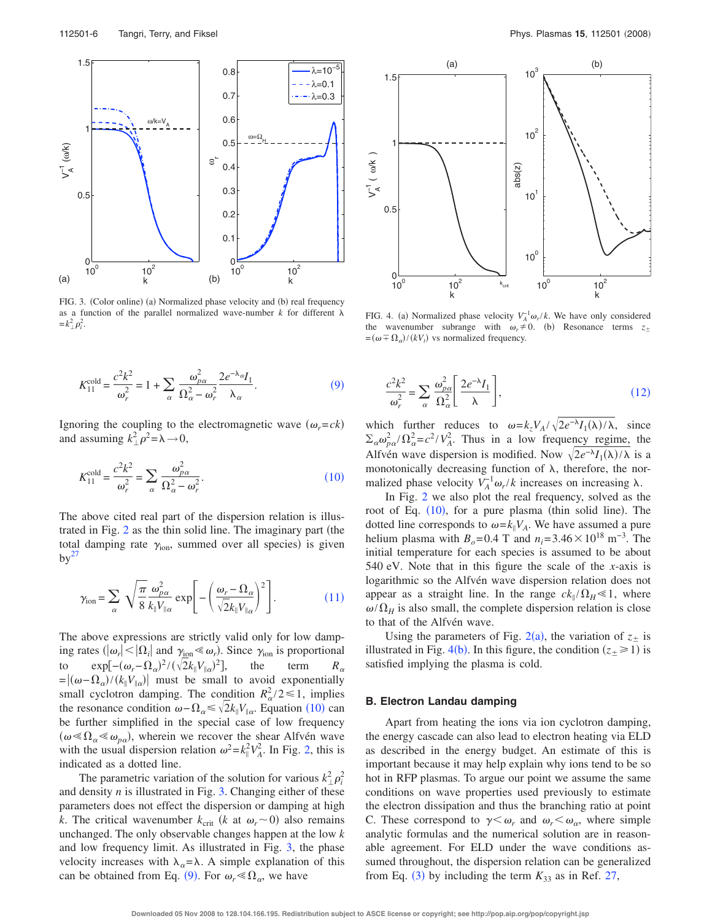<span id="page-5-4"></span>

FIG. 3. (Color online) (a) Normalized phase velocity and (b) real frequency as a function of the parallel normalized wave-number  $k$  for different  $\lambda$  $= k_{\perp}^2 \rho_i^2$ .

<span id="page-5-2"></span>
$$
K_{11}^{\text{cold}} = \frac{c^2 k^2}{\omega_r^2} = 1 + \sum_{\alpha} \frac{\omega_{\rho\alpha}^2}{\Omega_{\alpha}^2 - \omega_r^2} \frac{2e^{-\lambda_{\alpha}}I_1}{\lambda_{\alpha}}.
$$
 (9)

Ignoring the coupling to the electromagnetic wave  $(\omega_r = ck)$ and assuming  $k_{\perp}^2 \rho^2 = \lambda \rightarrow 0$ ,

<span id="page-5-1"></span>
$$
K_{11}^{\text{cold}} = \frac{c^2 k^2}{\omega_r^2} = \sum_{\alpha} \frac{\omega_{p\alpha}^2}{\Omega_{\alpha}^2 - \omega_r^2}.
$$
 (10)

The above cited real part of the dispersion relation is illustrated in Fig.  $2$  as the thin solid line. The imaginary part (the total damping rate  $\gamma_{\text{ion}}$ , summed over all species) is given  $by<sup>27</sup>$ 

<span id="page-5-3"></span>
$$
\gamma_{\text{ion}} = \sum_{\alpha} \sqrt{\frac{\pi}{8}} \frac{\omega_{p\alpha}^2}{k_{\parallel} V_{\parallel \alpha}} \exp \left[ -\left( \frac{\omega_r - \Omega_\alpha}{\sqrt{2} k_{\parallel} V_{\parallel \alpha}} \right)^2 \right]. \tag{11}
$$

The above expressions are strictly valid only for low damping rates  $(|\omega_r|<|\Omega_i|)$  and  $\gamma_{\text{ion}} \ll \omega_r$ ). Since  $\gamma_{\text{ion}}$  is proportional to  $\exp[-(\omega_r - \Omega_\alpha)^2 / (\sqrt{2}k_{\parallel}V_{\parallel \alpha})^2]$ the term  $R_{\alpha}$  $= |(\omega - \Omega_{\alpha})/(k_{\parallel}V_{\parallel \alpha})|$  must be small to avoid exponentially small cyclotron damping. The condition  $R_{\alpha}^2/2 \le 1$ , implies the resonance condition  $ω - Ω<sub>α</sub> ≤ √2k<sub>||</sub>V<sub>||α</sub>$ . Equation ([10](#page-5-1)) can be further simplified in the special case of low frequency  $(\omega \ll \Omega_{\alpha} \ll \omega_{p\alpha})$ , wherein we recover the shear Alfvén wave with the usual dispersion relation  $\omega^2 = k_{\parallel}^2 V_A^2$ . In Fig. [2,](#page-4-1) this is indicated as a dotted line.

The parametric variation of the solution for various  $k_{\perp}^2 \rho_i^2$ and density *n* is illustrated in Fig. [3.](#page-5-4) Changing either of these parameters does not effect the dispersion or damping at high *k*. The critical wavenumber  $k_{\text{crit}}$  (*k* at  $\omega_r \sim 0$ ) also remains unchanged. The only observable changes happen at the low *k* and low frequency limit. As illustrated in Fig. [3,](#page-5-4) the phase velocity increases with  $\lambda_{\alpha}=\lambda$ . A simple explanation of this can be obtained from Eq. ([9](#page-5-2)). For  $\omega_r \ll \Omega_\alpha$ , we have

<span id="page-5-5"></span>

FIG. 4. (a) Normalized phase velocity  $V_A^{-1} \omega_r / k$ . We have only considered the wavenumber subrange with  $\omega_r \neq 0$ . (b) Resonance terms  $z_{\pm}$  $=(\omega \mp \Omega_\alpha)/(kV_t)$  vs normalized frequency.

<span id="page-5-0"></span>
$$
\frac{c^2 k^2}{\omega_r^2} = \sum_{\alpha} \frac{\omega_{\rho \alpha}^2}{\Omega_{\alpha}^2} \left[ \frac{2e^{-\lambda} I_1}{\lambda} \right],\tag{12}
$$

which further reduces to  $\omega = k_z V_A / \sqrt{2e^{-\lambda} I_1(\lambda) / \lambda}$ , since  $\sum_{\alpha} \omega_{p\alpha}^2 / \Omega_{\alpha}^2 = c^2 / V_A^2$ . Thus in a low frequency regime, the Alfvén wave dispersion is modified. Now  $\sqrt{2}e^{-\lambda}I_1(\lambda)/\lambda$  is a monotonically decreasing function of  $\lambda$ , therefore, the normalized phase velocity  $V_A^{-1} \omega_r / k$  increases on increasing  $\lambda$ .

In Fig. [2](#page-4-1) we also plot the real frequency, solved as the root of Eq.  $(10)$  $(10)$  $(10)$ , for a pure plasma (thin solid line). The dotted line corresponds to  $\omega = k_{\parallel} V_A$ . We have assumed a pure helium plasma with  $B_o = 0.4$  T and  $n_i = 3.46 \times 10^{18}$  m<sup>-3</sup>. The initial temperature for each species is assumed to be about 540 eV. Note that in this figure the scale of the *x*-axis is logarithmic so the Alfvén wave dispersion relation does not appear as a straight line. In the range  $ck_{\parallel}/\Omega_H \ll 1$ , where  $\omega/\Omega_H$  is also small, the complete dispersion relation is close to that of the Alfvén wave.

Using the parameters of Fig. [2](#page-4-1)(a), the variation of  $z_{\pm}$  is illustrated in Fig. [4](#page-5-5)(b). In this figure, the condition  $(z_{\pm} \ge 1)$  is satisfied implying the plasma is cold.

### **B. Electron Landau damping**

Apart from heating the ions via ion cyclotron damping, the energy cascade can also lead to electron heating via ELD as described in the energy budget. An estimate of this is important because it may help explain why ions tend to be so hot in RFP plasmas. To argue our point we assume the same conditions on wave properties used previously to estimate the electron dissipation and thus the branching ratio at point C. These correspond to  $\gamma < \omega_r$  and  $\omega_r < \omega_o$ , where simple analytic formulas and the numerical solution are in reasonable agreement. For ELD under the wave conditions assumed throughout, the dispersion relation can be generalized from Eq. ([3](#page-3-0)) by including the term  $K_{33}$  as in Ref. [27,](#page-11-19)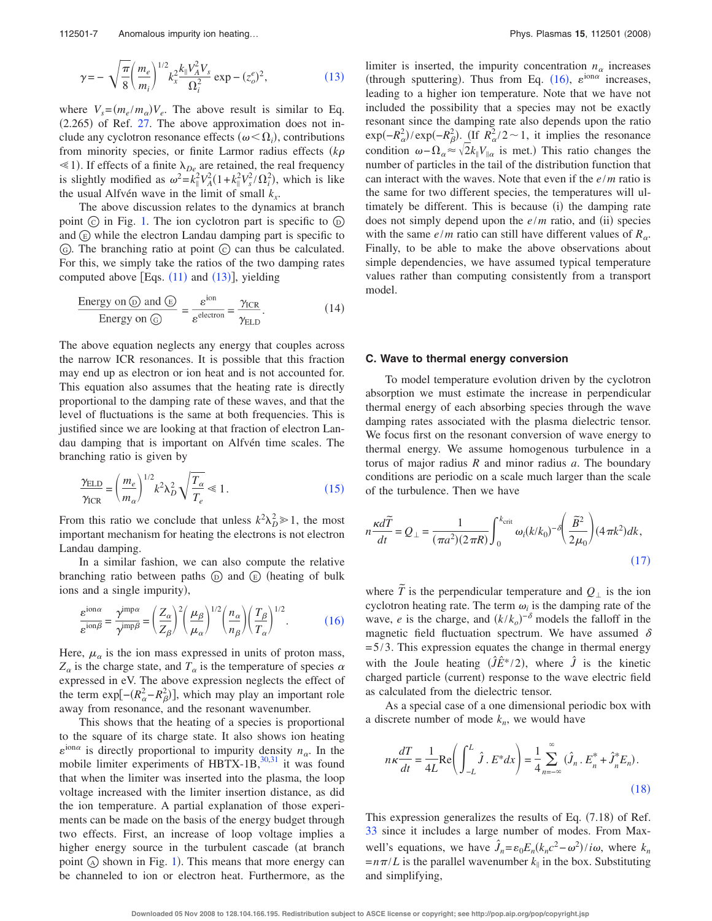<span id="page-6-0"></span>
$$
\gamma = -\sqrt{\frac{\pi}{8}} \left( \frac{m_e}{m_i} \right)^{1/2} k_x^2 \frac{k_{\parallel} V_A^2 V_s}{\Omega_i^2} \exp(- (z_e^e)^2), \tag{13}
$$

where  $V_s = (m_e / m_\alpha) V_e$ . The above result is similar to Eq.  $(2.265)$  of Ref. [27.](#page-11-19) The above approximation does not include any cyclotron resonance effects  $(\omega \le \Omega_i)$ , contributions from minority species, or finite Larmor radius effects  $(k\rho)$  $\leq$  1). If effects of a finite  $\lambda_{De}$  are retained, the real frequency is slightly modified as  $\omega^2 = k_{\parallel}^2 V_A^2 (1 + k_{\parallel}^2 V_s^2 / \Omega_i^2)$ , which is like the usual Alfvén wave in the limit of small  $k_x$ .

The above discussion relates to the dynamics at branch point  $\odot$  in Fig. [1.](#page-2-0) The ion cyclotron part is specific to  $\odot$ and  $(E)$  while the electron Landau damping part is specific to  $\odot$ . The branching ratio at point  $\odot$  can thus be calculated. For this, we simply take the ratios of the two damping rates computed above  $[Eqs. (11)$  $[Eqs. (11)$  $[Eqs. (11)$  and  $(13)]$  $(13)]$  $(13)]$ , yielding

$$
\frac{\text{Energy on } \textcircled{D} \text{ and } \textcircled{E}}{\text{Energy on } \textcircled{D}} = \frac{\varepsilon^{\text{ion}}}{\varepsilon^{\text{electron}}} = \frac{\gamma_{\text{ICR}}}{\gamma_{\text{ELD}}}.
$$
(14)

The above equation neglects any energy that couples across the narrow ICR resonances. It is possible that this fraction may end up as electron or ion heat and is not accounted for. This equation also assumes that the heating rate is directly proportional to the damping rate of these waves, and that the level of fluctuations is the same at both frequencies. This is justified since we are looking at that fraction of electron Landau damping that is important on Alfvén time scales. The branching ratio is given by

<span id="page-6-1"></span>
$$
\frac{\gamma_{\text{ELD}}}{\gamma_{\text{ICR}}} = \left(\frac{m_e}{m_\alpha}\right)^{1/2} k^2 \lambda_D^2 \sqrt{\frac{T_\alpha}{T_e}} \ll 1. \tag{15}
$$

From this ratio we conclude that unless  $k^2 \lambda_D^2 \ge 1$ , the most important mechanism for heating the electrons is not electron Landau damping.

In a similar fashion, we can also compute the relative branching ratio between paths  $\circled{D}$  and  $\circled{E}$  (heating of bulk ions and a single impurity),

<span id="page-6-2"></span>
$$
\frac{\varepsilon^{\text{ion}\alpha}}{\varepsilon^{\text{ion}\beta}} = \frac{\gamma^{\text{imp}\alpha}}{\gamma^{\text{imp}\beta}} = \left(\frac{Z_{\alpha}}{Z_{\beta}}\right)^2 \left(\frac{\mu_{\beta}}{\mu_{\alpha}}\right)^{1/2} \left(\frac{n_{\alpha}}{n_{\beta}}\right) \left(\frac{T_{\beta}}{T_{\alpha}}\right)^{1/2}.
$$
 (16)

Here,  $\mu_{\alpha}$  is the ion mass expressed in units of proton mass,  $Z_{\alpha}$  is the charge state, and  $T_{\alpha}$  is the temperature of species  $\alpha$ expressed in eV. The above expression neglects the effect of the term  $\exp[-(R_{\alpha}^2 - R_{\beta}^2)]$ , which may play an important role away from resonance, and the resonant wavenumber.

This shows that the heating of a species is proportional to the square of its charge state. It also shows ion heating  $\varepsilon^{\text{ion}\alpha}$  is directly proportional to impurity density  $n_{\alpha}$ . In the mobile limiter experiments of HBTX-1B, $^{30,31}$  $^{30,31}$  $^{30,31}$  it was found that when the limiter was inserted into the plasma, the loop voltage increased with the limiter insertion distance, as did the ion temperature. A partial explanation of those experiments can be made on the basis of the energy budget through two effects. First, an increase of loop voltage implies a higher energy source in the turbulent cascade (at branch point  $\overline{A}$  shown in Fig. [1](#page-2-0)). This means that more energy can be channeled to ion or electron heat. Furthermore, as the limiter is inserted, the impurity concentration  $n_{\alpha}$  increases (through sputtering). Thus from Eq.  $(16)$  $(16)$  $(16)$ ,  $\varepsilon^{\text{ion}\alpha}$  increases, leading to a higher ion temperature. Note that we have not included the possibility that a species may not be exactly resonant since the damping rate also depends upon the ratio  $\exp(-R_{\alpha}^2)/\exp(-R_{\beta}^2)$ . (If  $R_{\alpha}^2/2 \sim 1$ , it implies the resonance condition  $\omega - \Omega_{\alpha} \approx \sqrt{2k_{\parallel}V_{\parallel \alpha}}$  is met.) This ratio changes the number of particles in the tail of the distribution function that can interact with the waves. Note that even if the *e*/*m* ratio is the same for two different species, the temperatures will ultimately be different. This is because (i) the damping rate does not simply depend upon the  $e/m$  ratio, and (ii) species with the same  $e/m$  ratio can still have different values of  $R_{\alpha}$ . Finally, to be able to make the above observations about simple dependencies, we have assumed typical temperature values rather than computing consistently from a transport model.

# **C. Wave to thermal energy conversion**

To model temperature evolution driven by the cyclotron absorption we must estimate the increase in perpendicular thermal energy of each absorbing species through the wave damping rates associated with the plasma dielectric tensor. We focus first on the resonant conversion of wave energy to thermal energy. We assume homogenous turbulence in a torus of major radius *R* and minor radius *a*. The boundary conditions are periodic on a scale much larger than the scale of the turbulence. Then we have

<span id="page-6-3"></span>
$$
n\frac{\kappa d\widetilde{T}}{dt} = Q_{\perp} = \frac{1}{(\pi a^2)(2\pi R)} \int_0^{k_{\text{crit}}} \omega_i (k/k_0)^{-\delta} \left(\frac{\widetilde{B}^2}{2\mu_0}\right) (4\pi k^2) dk,
$$
\n(17)

where  $\tilde{T}$  is the perpendicular temperature and  $Q_{\perp}$  is the ion cyclotron heating rate. The term  $\omega_i$  is the damping rate of the wave, *e* is the charge, and  $(k/k_o)^{-\delta}$  models the falloff in the magnetic field fluctuation spectrum. We have assumed  $\delta$  $= 5/3$ . This expression equates the change in thermal energy with the Joule heating  $(\hat{J}\hat{E}^*/2)$ , where  $\hat{J}$  is the kinetic charged particle (current) response to the wave electric field as calculated from the dielectric tensor.

As a special case of a one dimensional periodic box with a discrete number of mode  $k_n$ , we would have

<span id="page-6-4"></span>
$$
n\kappa \frac{dT}{dt} = \frac{1}{4L} \text{Re} \left( \int_{-L}^{L} \hat{J} \cdot E^* dx \right) = \frac{1}{4} \sum_{n=-\infty}^{\infty} (\hat{J}_n \cdot E_n^* + \hat{J}_n^* E_n).
$$
\n(18)

This expression generalizes the results of Eq.  $(7.18)$  of Ref. [33](#page-11-24) since it includes a large number of modes. From Maxwell's equations, we have  $\hat{J}_n = \varepsilon_0 E_n (k_n c^2 - \omega^2) / i\omega$ , where  $k_n$  $=n\pi/L$  is the parallel wavenumber  $k_{\parallel}$  in the box. Substituting and simplifying,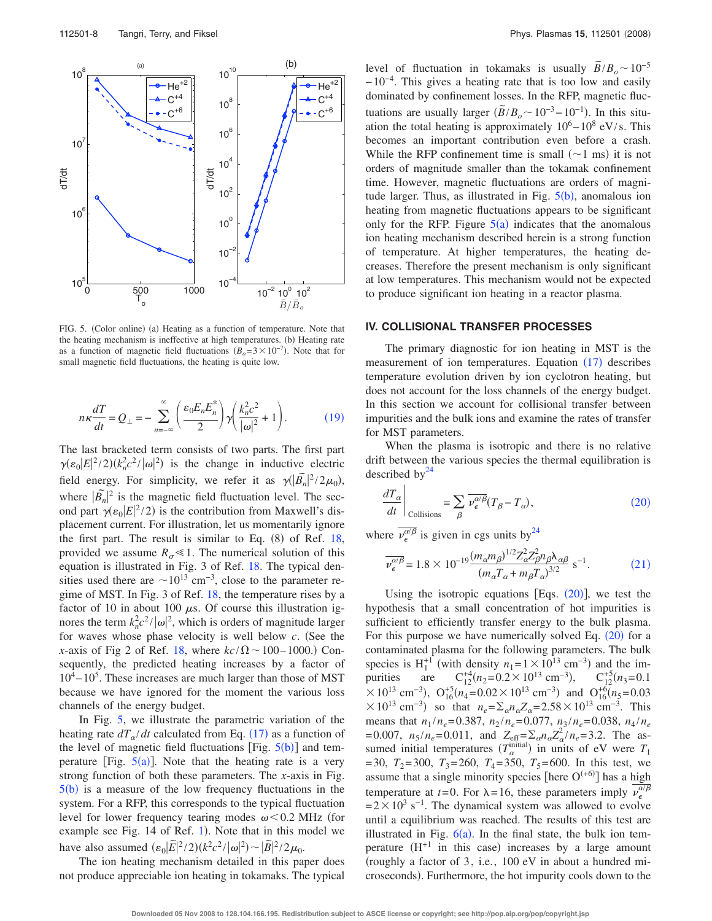<span id="page-7-1"></span>

FIG. 5. (Color online) (a) Heating as a function of temperature. Note that the heating mechanism is ineffective at high temperatures. (b) Heating rate as a function of magnetic field fluctuations  $(B_0 = 3 \times 10^{-7})$ . Note that for small magnetic field fluctuations, the heating is quite low.

<span id="page-7-0"></span>
$$
n\kappa \frac{dT}{dt} = Q_{\perp} = -\sum_{n=-\infty}^{\infty} \left( \frac{\varepsilon_0 E_n E_n^*}{2} \right) \gamma \left( \frac{k_n^2 c^2}{|\omega|^2} + 1 \right). \tag{19}
$$

The last bracketed term consists of two parts. The first part  $\gamma(\varepsilon_0 |E|^2/2) (k_n^2 c^2 / |\omega|^2)$  is the change in inductive electric field energy. For simplicity, we refer it as  $\gamma \sqrt{|\tilde{B}_n|^2/2\mu_0}$ , where  $|\tilde{B}_n|^2$  is the magnetic field fluctuation level. The second part  $\gamma(\varepsilon_0 |E|^2/2)$  is the contribution from Maxwell's displacement current. For illustration, let us momentarily ignore the first part. The result is similar to Eq.  $(8)$  of Ref. [18,](#page-11-18) provided we assume  $R_{\sigma} \leq 1$ . The numerical solution of this equation is illustrated in Fig. 3 of Ref. [18.](#page-11-18) The typical densities used there are  $\sim 10^{13}$  cm<sup>-3</sup>, close to the parameter regime of MST. In Fig. 3 of Ref. [18,](#page-11-18) the temperature rises by a factor of 10 in about 100  $\mu$ s. Of course this illustration ignores the term  $k_n^2 c^2 / |\omega|^2$ , which is orders of magnitude larger for waves whose phase velocity is well below *c*. (See the *x*-axis of Fig 2 of Ref. [18,](#page-11-18) where  $kc/\Omega \sim 100-1000$ .) Consequently, the predicted heating increases by a factor of  $10^4 - 10^5$ . These increases are much larger than those of MST because we have ignored for the moment the various loss channels of the energy budget.

In Fig. [5,](#page-7-1) we illustrate the parametric variation of the heating rate  $dT_{\alpha}/dt$  calculated from Eq. ([17](#page-6-3)) as a function of the level of magnetic field fluctuations  $[Fig. 5(b)]$  $[Fig. 5(b)]$  $[Fig. 5(b)]$  and temperature [Fig.  $5(a)$  $5(a)$ ]. Note that the heating rate is a very strong function of both these parameters. The *x*-axis in Fig.  $5(b)$  $5(b)$  $5(b)$  is a measure of the low frequency fluctuations in the system. For a RFP, this corresponds to the typical fluctuation level for lower frequency tearing modes  $\omega$  < 0.2 MHz (for example see Fig. [1](#page-11-1)4 of Ref. 1). Note that in this model we have also assumed  $(\epsilon_0 |\tilde{E}|^2/2)(k^2 c^2/|\omega|^2) \sim |\tilde{B}|^2/2\mu_0$ .

The ion heating mechanism detailed in this paper does not produce appreciable ion heating in tokamaks. The typical

level of fluctuation in tokamaks is usually  $\tilde{B}/B_o \sim 10^{-5}$ −10−4 . This gives a heating rate that is too low and easily dominated by confinement losses. In the RFP, magnetic fluctuations are usually larger  $(\widetilde{B}/B_o \sim 10^{-3} - 10^{-1})$ . In this situation the total heating is approximately  $10^6 - 10^8$  eV/s. This becomes an important contribution even before a crash. While the RFP confinement time is small  $(\sim 1 \text{ ms})$  it is not orders of magnitude smaller than the tokamak confinement time. However, magnetic fluctuations are orders of magnitude larger. Thus, as illustrated in Fig.  $5(b)$  $5(b)$ , anomalous ion heating from magnetic fluctuations appears to be significant only for the RFP. Figure  $5(a)$  $5(a)$  indicates that the anomalous ion heating mechanism described herein is a strong function of temperature. At higher temperatures, the heating decreases. Therefore the present mechanism is only significant at low temperatures. This mechanism would not be expected to produce significant ion heating in a reactor plasma.

### **IV. COLLISIONAL TRANSFER PROCESSES**

The primary diagnostic for ion heating in MST is the measurement of ion temperatures. Equation  $(17)$  $(17)$  $(17)$  describes temperature evolution driven by ion cyclotron heating, but does not account for the loss channels of the energy budget. In this section we account for collisional transfer between impurities and the bulk ions and examine the rates of transfer for MST parameters.

When the plasma is isotropic and there is no relative drift between the various species the thermal equilibration is described by $^{24}$ 

<span id="page-7-2"></span>
$$
\left. \frac{dT_{\alpha}}{dt} \right|_{\text{Collisions}} = \sum_{\beta} \overline{\nu_{\epsilon}^{\alpha/\beta}} (T_{\beta} - T_{\alpha}), \tag{20}
$$

<span id="page-7-3"></span>where  $\overline{v_{\epsilon}^{\alpha/\beta}}$  is given in cgs units by<sup>24</sup>

$$
\overline{\nu_{\epsilon}^{\alpha/\beta}} = 1.8 \times 10^{-19} \frac{(m_{\alpha} m_{\beta})^{1/2} Z_{\alpha}^2 Z_{\beta}^2 n_{\beta} \lambda_{\alpha\beta}}{(m_{\alpha} T_{\alpha} + m_{\beta} T_{\alpha})^{3/2}} \text{ s}^{-1}.
$$
 (21)

Using the isotropic equations  $[Eqs. (20)]$  $[Eqs. (20)]$  $[Eqs. (20)]$ , we test the hypothesis that a small concentration of hot impurities is sufficient to efficiently transfer energy to the bulk plasma. For this purpose we have numerically solved Eq.  $(20)$  $(20)$  $(20)$  for a contaminated plasma for the following parameters. The bulk species is H<sup>+1</sup> (with density  $n_1 = 1 \times 10^{13}$  cm<sup>-3</sup>) and the impurities are  $C_{12}^{+4}(n_2=0.2\times10^{13} \text{ cm}^{-3}),$   $C_{12}^{+5}(n_3=0.1)$  $\times 10^{13}$  cm<sup>-3</sup>), O<sub>16</sub><sup>16</sup>/*n*<sub>4</sub>=0.02 × 10<sup>13</sup> cm<sup>-3</sup>) and O<sub>16</sub><sup>16</sup>/*n*<sub>5</sub>=0.03  $\times 10^{13}$  cm<sup>-3</sup>) so that  $n_e = \sum_{\alpha} n_{\alpha} Z_{\alpha} = 2.58 \times 10^{13}$  cm<sup>-3</sup>. This means that  $n_1/n_e = 0.387$ ,  $n_2/n_e = 0.077$ ,  $n_3/n_e = 0.038$ ,  $n_4/n_e$  $= 0.007$ ,  $n_5 / n_e = 0.011$ , and  $Z_{eff} = \sum_{\alpha} n_{\alpha} Z_{\alpha}^2 / n_e = 3.2$ . The assumed initial temperatures  $(T_\alpha^{\text{initial}})$  in units of eV were  $T_1$  $= 30, T_2 = 300, T_3 = 260, T_4 = 350, T_5 = 600$ . In this test, we assume that a single minority species [here  $O^{(+6)}$ ] has a high temperature at *t*=0. For  $\lambda = 16$ , these parameters imply  $\overline{v_{\epsilon}^{\alpha/\beta}}$  $= 2 \times 10^{3}$  s<sup>-1</sup>. The dynamical system was allowed to evolve until a equilibrium was reached. The results of this test are illustrated in Fig.  $6(a)$  $6(a)$ . In the final state, the bulk ion temperature  $(H<sup>+1</sup>$  in this case) increases by a large amount (roughly a factor of  $3$ , i.e., 100 eV in about a hundred microseconds). Furthermore, the hot impurity cools down to the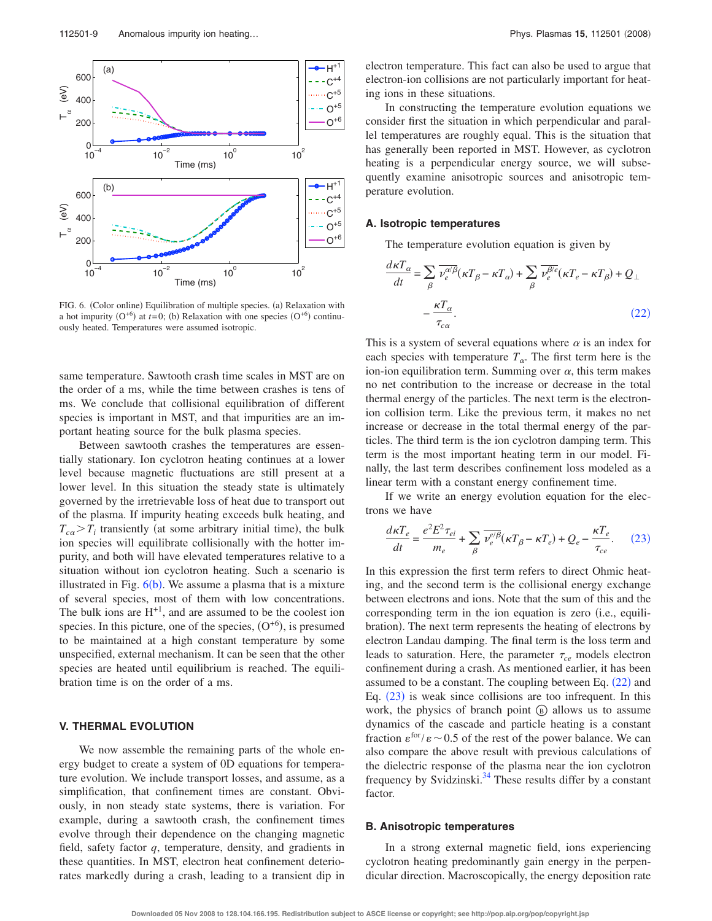<span id="page-8-0"></span>

FIG. 6. (Color online) Equilibration of multiple species. (a) Relaxation with a hot impurity  $(O^{+6})$  at  $t=0$ ; (b) Relaxation with one species  $(O^{+6})$  continuously heated. Temperatures were assumed isotropic.

same temperature. Sawtooth crash time scales in MST are on the order of a ms, while the time between crashes is tens of ms. We conclude that collisional equilibration of different species is important in MST, and that impurities are an important heating source for the bulk plasma species.

Between sawtooth crashes the temperatures are essentially stationary. Ion cyclotron heating continues at a lower level because magnetic fluctuations are still present at a lower level. In this situation the steady state is ultimately governed by the irretrievable loss of heat due to transport out of the plasma. If impurity heating exceeds bulk heating, and  $T_{c\alpha}$   $\geq$  *T<sub>i</sub>* transiently (at some arbitrary initial time), the bulk ion species will equilibrate collisionally with the hotter impurity, and both will have elevated temperatures relative to a situation without ion cyclotron heating. Such a scenario is illustrated in Fig.  $6(b)$  $6(b)$ . We assume a plasma that is a mixture of several species, most of them with low concentrations. The bulk ions are  $H^{+1}$ , and are assumed to be the coolest ion species. In this picture, one of the species,  $(O^{+6})$ , is presumed to be maintained at a high constant temperature by some unspecified, external mechanism. It can be seen that the other species are heated until equilibrium is reached. The equilibration time is on the order of a ms.

### **V. THERMAL EVOLUTION**

We now assemble the remaining parts of the whole energy budget to create a system of 0D equations for temperature evolution. We include transport losses, and assume, as a simplification, that confinement times are constant. Obviously, in non steady state systems, there is variation. For example, during a sawtooth crash, the confinement times evolve through their dependence on the changing magnetic field, safety factor *q*, temperature, density, and gradients in these quantities. In MST, electron heat confinement deteriorates markedly during a crash, leading to a transient dip in electron temperature. This fact can also be used to argue that electron-ion collisions are not particularly important for heating ions in these situations.

In constructing the temperature evolution equations we consider first the situation in which perpendicular and parallel temperatures are roughly equal. This is the situation that has generally been reported in MST. However, as cyclotron heating is a perpendicular energy source, we will subsequently examine anisotropic sources and anisotropic temperature evolution.

### **A. Isotropic temperatures**

The temperature evolution equation is given by

<span id="page-8-1"></span>
$$
\frac{d\kappa T_{\alpha}}{dt} = \sum_{\beta} \overline{\nu_e^{\alpha/\beta}} (\kappa T_{\beta} - \kappa T_{\alpha}) + \sum_{\beta} \overline{\nu_e^{\beta/e}} (\kappa T_e - \kappa T_{\beta}) + Q_{\perp}
$$

$$
- \frac{\kappa T_{\alpha}}{\tau_{c\alpha}}.
$$
(22)

This is a system of several equations where  $\alpha$  is an index for each species with temperature  $T_{\alpha}$ . The first term here is the ion-ion equilibration term. Summing over  $\alpha$ , this term makes no net contribution to the increase or decrease in the total thermal energy of the particles. The next term is the electronion collision term. Like the previous term, it makes no net increase or decrease in the total thermal energy of the particles. The third term is the ion cyclotron damping term. This term is the most important heating term in our model. Finally, the last term describes confinement loss modeled as a linear term with a constant energy confinement time.

If we write an energy evolution equation for the electrons we have

<span id="page-8-2"></span>
$$
\frac{d\kappa T_e}{dt} = \frac{e^2 E^2 \tau_{ei}}{m_e} + \sum_{\beta} \overline{\nu_e^{e/\beta}} (\kappa T_\beta - \kappa T_e) + Q_e - \frac{\kappa T_e}{\tau_{ce}}.
$$
 (23)

In this expression the first term refers to direct Ohmic heating, and the second term is the collisional energy exchange between electrons and ions. Note that the sum of this and the corresponding term in the ion equation is zero  $(i.e.,$  equilibration). The next term represents the heating of electrons by electron Landau damping. The final term is the loss term and leads to saturation. Here, the parameter  $\tau_{ce}$  models electron confinement during a crash. As mentioned earlier, it has been assumed to be a constant. The coupling between Eq.  $(22)$  $(22)$  $(22)$  and Eq.  $(23)$  $(23)$  $(23)$  is weak since collisions are too infrequent. In this work, the physics of branch point  $\circled{B}$  allows us to assume dynamics of the cascade and particle heating is a constant fraction  $\varepsilon^{for}/\varepsilon \sim 0.5$  of the rest of the power balance. We can also compare the above result with previous calculations of the dielectric response of the plasma near the ion cyclotron frequency by Svidzinski.<sup>34</sup> These results differ by a constant factor.

## **B. Anisotropic temperatures**

In a strong external magnetic field, ions experiencing cyclotron heating predominantly gain energy in the perpendicular direction. Macroscopically, the energy deposition rate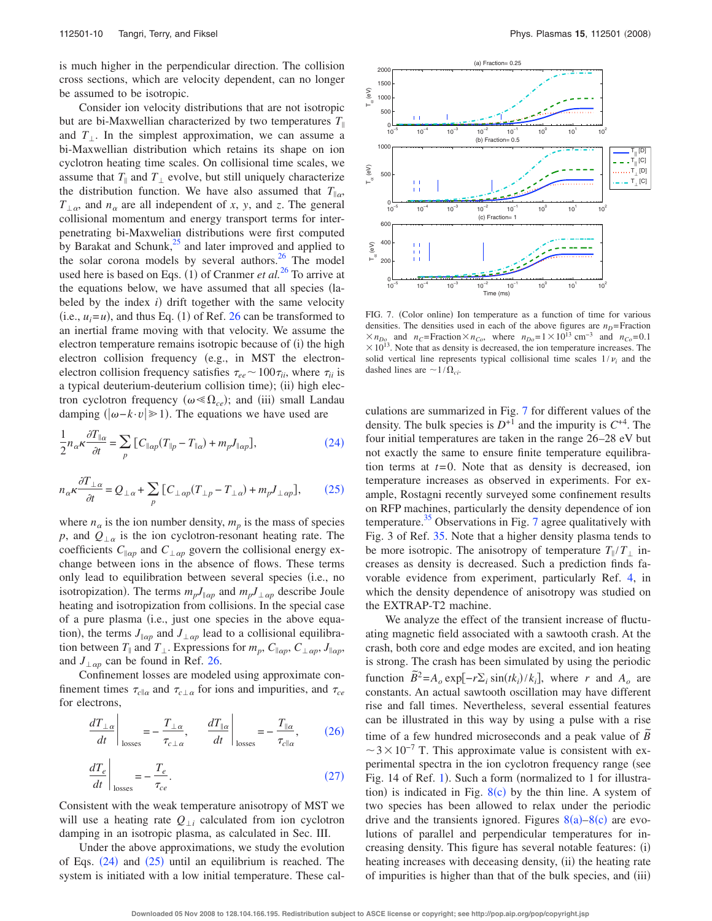is much higher in the perpendicular direction. The collision cross sections, which are velocity dependent, can no longer be assumed to be isotropic.

Consider ion velocity distributions that are not isotropic but are bi-Maxwellian characterized by two temperatures  $T_{\parallel}$ and  $T_{\perp}$ . In the simplest approximation, we can assume a bi-Maxwellian distribution which retains its shape on ion cyclotron heating time scales. On collisional time scales, we assume that  $T_{\parallel}$  and  $T_{\perp}$  evolve, but still uniquely characterize the distribution function. We have also assumed that  $T_{\parallel\alpha}$ ,  $T_{\perp}$ , and  $n_{\alpha}$  are all independent of *x*, *y*, and *z*. The general collisional momentum and energy transport terms for interpenetrating bi-Maxwelian distributions were first computed by Barakat and Schunk,<sup>25</sup> and later improved and applied to the solar corona models by several authors. $^{26}$  The model used here is based on Eqs. (1) of Cranmer *et al.*<sup>[26](#page-11-30)</sup> To arrive at the equations below, we have assumed that all species (labeled by the index  $i$ ) drift together with the same velocity  $(i.e.,  $u_i = u$ ), and thus Eq. (1) of Ref. 26 can be transformed to$  $(i.e.,  $u_i = u$ ), and thus Eq. (1) of Ref. 26 can be transformed to$  $(i.e.,  $u_i = u$ ), and thus Eq. (1) of Ref. 26 can be transformed to$ an inertial frame moving with that velocity. We assume the electron temperature remains isotropic because of (i) the high electron collision frequency (e.g., in MST the electronelectron collision frequency satisfies  $\tau_{ee} \sim 100\tau_{ii}$ , where  $\tau_{ii}$  is a typical deuterium-deuterium collision time); (ii) high electron cyclotron frequency ( $\omega \ll \Omega_{ce}$ ); and (iii) small Landau damping  $(|\omega-k \cdot v| \ge 1)$ . The equations we have used are

<span id="page-9-0"></span>
$$
\frac{1}{2}n_{\alpha}\kappa \frac{\partial T_{\parallel \alpha}}{\partial t} = \sum_{p} \left[ C_{\parallel \alpha p} (T_{\parallel p} - T_{\parallel \alpha}) + m_{p} J_{\parallel \alpha p} \right],\tag{24}
$$

<span id="page-9-1"></span>
$$
n_{\alpha} \kappa \frac{\partial T_{\perp \alpha}}{\partial t} = Q_{\perp \alpha} + \sum_{p} \left[ C_{\perp \alpha p} (T_{\perp p} - T_{\perp \alpha}) + m_{p} J_{\perp \alpha p} \right],
$$
 (25)

where  $n_{\alpha}$  is the ion number density,  $m_p$  is the mass of species *p*, and  $Q_{\perp \alpha}$  is the ion cyclotron-resonant heating rate. The coefficients  $C_{\parallel \alpha p}$  and  $C_{\perp \alpha p}$  govern the collisional energy exchange between ions in the absence of flows. These terms only lead to equilibration between several species (i.e., no isotropization). The terms  $m_pJ_{\parallel\alpha p}$  and  $m_pJ_{\perp\alpha p}$  describe Joule heating and isotropization from collisions. In the special case of a pure plasma (i.e., just one species in the above equation), the terms  $J_{\parallel\alpha p}$  and  $J_{\perp\alpha p}$  lead to a collisional equilibration between  $T_{\parallel}$  and  $T_{\perp}$ . Expressions for  $m_p$ ,  $C_{\parallel \alpha p}$ ,  $C_{\perp \alpha p}$ ,  $J_{\parallel \alpha p}$ , and  $J_{\perp \alpha p}$  can be found in Ref. [26.](#page-11-30)

Confinement losses are modeled using approximate confinement times  $\tau_{c\parallel\alpha}$  and  $\tau_{c\perp\alpha}$  for ions and impurities, and  $\tau_{ce}$ for electrons,

<span id="page-9-2"></span>
$$
\left. \frac{dT_{\perp \alpha}}{dt} \right|_{\text{losses}} = -\frac{T_{\perp \alpha}}{\tau_{c \perp \alpha}}, \qquad \left. \frac{dT_{\parallel \alpha}}{dt} \right|_{\text{losses}} = -\frac{T_{\parallel \alpha}}{\tau_{c \parallel \alpha}}, \tag{26}
$$

<span id="page-9-3"></span>
$$
\left. \frac{dT_e}{dt} \right|_{\text{losses}} = -\frac{T_e}{\tau_{ce}}.
$$
\n(27)

Consistent with the weak temperature anisotropy of MST we will use a heating rate  $Q_{\perp i}$  calculated from ion cyclotron damping in an isotropic plasma, as calculated in Sec. III.

Under the above approximations, we study the evolution of Eqs.  $(24)$  $(24)$  $(24)$  and  $(25)$  $(25)$  $(25)$  until an equilibrium is reached. The system is initiated with a low initial temperature. These cal-

<span id="page-9-4"></span>

FIG. 7. (Color online) Ion temperature as a function of time for various densities. The densities used in each of the above figures are  $n<sub>D</sub>$ =Fraction  $\times n_{Do}$  and *n<sub>C</sub>*=Fraction  $\times n_{Co}$ , where  $n_{Do} = 1 \times 10^{13}$  cm<sup>-3</sup> and  $n_{Co} = 0.1$  $\times$  10<sup>13</sup>. Note that as density is decreased, the ion temperature increases. The solid vertical line represents typical collisional time scales  $1/\nu_i$  and the dashed lines are  $\sim 1/\Omega_{ci}$ .

culations are summarized in Fig. [7](#page-9-4) for different values of the density. The bulk species is  $D^{+1}$  and the impurity is  $C^{+4}$ . The four initial temperatures are taken in the range 26–28 eV but not exactly the same to ensure finite temperature equilibration terms at  $t=0$ . Note that as density is decreased, ion temperature increases as observed in experiments. For example, Rostagni recently surveyed some confinement results on RFP machines, particularly the density dependence of ion temperature.<sup>35</sup> Observations in Fig. [7](#page-9-4) agree qualitatively with Fig. 3 of Ref. [35.](#page-11-31) Note that a higher density plasma tends to be more isotropic. The anisotropy of temperature  $T_{\parallel}/T_{\perp}$  increases as density is decreased. Such a prediction finds favorable evidence from experiment, particularly Ref. [4,](#page-11-2) in which the density dependence of anisotropy was studied on the EXTRAP-T2 machine.

We analyze the effect of the transient increase of fluctuating magnetic field associated with a sawtooth crash. At the crash, both core and edge modes are excited, and ion heating is strong. The crash has been simulated by using the periodic function  $\tilde{B}^2 = A_o \exp[-r\Sigma_i \sin(k_i)/k_i]$ , where *r* and  $A_o$  are constants. An actual sawtooth oscillation may have different rise and fall times. Nevertheless, several essential features can be illustrated in this way by using a pulse with a rise time of a few hundred microseconds and a peak value of  $\tilde{B}$  $\sim$  3  $\times$  10<sup>-7</sup> T. This approximate value is consistent with experimental spectra in the ion cyclotron frequency range (see Fig. [1](#page-11-1)4 of Ref. 1). Such a form (normalized to 1 for illustration) is indicated in Fig.  $8(c)$  $8(c)$  by the thin line. A system of two species has been allowed to relax under the periodic drive and the transients ignored. Figures  $8(a) - 8(c)$  $8(a) - 8(c)$  are evolutions of parallel and perpendicular temperatures for increasing density. This figure has several notable features:  $(i)$ heating increases with deceasing density, (ii) the heating rate of impurities is higher than that of the bulk species, and (iii)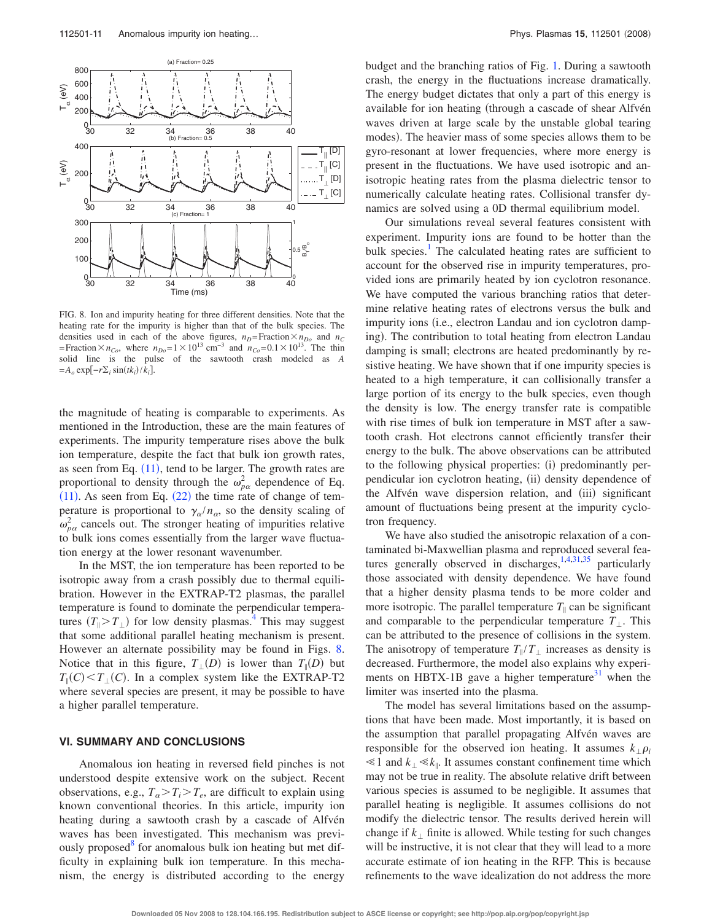<span id="page-10-0"></span>

FIG. 8. Ion and impurity heating for three different densities. Note that the heating rate for the impurity is higher than that of the bulk species. The densities used in each of the above figures,  $n_D$ =Fraction  $\times n_{Do}$  and  $n_C$ =Fraction  $\times n_{Co}$ , where  $n_{Do} = 1 \times 10^{13}$  cm<sup>-3</sup> and  $n_{Co} = 0.1 \times 10^{13}$ . The thin solid line is the pulse of the sawtooth crash modeled as *A*  $=A_o \exp[-r\Sigma_i \sin(t k_i)/k_i].$ 

the magnitude of heating is comparable to experiments. As mentioned in the Introduction, these are the main features of experiments. The impurity temperature rises above the bulk ion temperature, despite the fact that bulk ion growth rates, as seen from Eq.  $(11)$  $(11)$  $(11)$ , tend to be larger. The growth rates are proportional to density through the  $\omega_{p\alpha}^2$  dependence of Eq.  $(11)$  $(11)$  $(11)$ . As seen from Eq.  $(22)$  $(22)$  $(22)$  the time rate of change of temperature is proportional to  $\gamma_\alpha/n_\alpha$ , so the density scaling of  $\omega_{p\alpha}^2$  cancels out. The stronger heating of impurities relative to bulk ions comes essentially from the larger wave fluctuation energy at the lower resonant wavenumber.

In the MST, the ion temperature has been reported to be isotropic away from a crash possibly due to thermal equilibration. However in the EXTRAP-T2 plasmas, the parallel temperature is found to dominate the perpendicular temperatures  $(T_{\parallel} > T_{\perp})$  for low density plasmas.<sup>[4](#page-11-2)</sup> This may suggest that some additional parallel heating mechanism is present. However an alternate possibility may be found in Figs. [8.](#page-10-0) Notice that in this figure,  $T_{\perp}(D)$  is lower than  $T_{\parallel}(D)$  but  $T_{\parallel}(C) < T_{\perp}(C)$ . In a complex system like the EXTRAP-T2 where several species are present, it may be possible to have a higher parallel temperature.

# **VI. SUMMARY AND CONCLUSIONS**

Anomalous ion heating in reversed field pinches is not understood despite extensive work on the subject. Recent observations, e.g.,  $T_a > T_i > T_e$ , are difficult to explain using known conventional theories. In this article, impurity ion heating during a sawtooth crash by a cascade of Alfvén waves has been investigated. This mechanism was previously proposed<sup>8</sup> for anomalous bulk ion heating but met difficulty in explaining bulk ion temperature. In this mechanism, the energy is distributed according to the energy

budget and the branching ratios of Fig. [1.](#page-2-0) During a sawtooth crash, the energy in the fluctuations increase dramatically. The energy budget dictates that only a part of this energy is available for ion heating (through a cascade of shear Alfvén waves driven at large scale by the unstable global tearing modes). The heavier mass of some species allows them to be gyro-resonant at lower frequencies, where more energy is present in the fluctuations. We have used isotropic and anisotropic heating rates from the plasma dielectric tensor to numerically calculate heating rates. Collisional transfer dynamics are solved using a 0D thermal equilibrium model.

Our simulations reveal several features consistent with experiment. Impurity ions are found to be hotter than the bulk species.<sup>1</sup> The calculated heating rates are sufficient to account for the observed rise in impurity temperatures, provided ions are primarily heated by ion cyclotron resonance. We have computed the various branching ratios that determine relative heating rates of electrons versus the bulk and impurity ions (i.e., electron Landau and ion cyclotron damping). The contribution to total heating from electron Landau damping is small; electrons are heated predominantly by resistive heating. We have shown that if one impurity species is heated to a high temperature, it can collisionally transfer a large portion of its energy to the bulk species, even though the density is low. The energy transfer rate is compatible with rise times of bulk ion temperature in MST after a sawtooth crash. Hot electrons cannot efficiently transfer their energy to the bulk. The above observations can be attributed to the following physical properties: (i) predominantly perpendicular ion cyclotron heating, (ii) density dependence of the Alfvén wave dispersion relation, and (iii) significant amount of fluctuations being present at the impurity cyclotron frequency.

We have also studied the anisotropic relaxation of a contaminated bi-Maxwellian plasma and reproduced several features generally observed in discharges,  $1,4,31,35$  $1,4,31,35$  $1,4,31,35$  $1,4,31,35$  particularly those associated with density dependence. We have found that a higher density plasma tends to be more colder and more isotropic. The parallel temperature  $T_{\parallel}$  can be significant and comparable to the perpendicular temperature  $T_{\perp}$ . This can be attributed to the presence of collisions in the system. The anisotropy of temperature  $T_{\parallel}/T_{\perp}$  increases as density is decreased. Furthermore, the model also explains why experiments on HBTX-1B gave a higher temperature<sup>31</sup> when the limiter was inserted into the plasma.

The model has several limitations based on the assumptions that have been made. Most importantly, it is based on the assumption that parallel propagating Alfvén waves are responsible for the observed ion heating. It assumes  $k_{\perp}$  $\rho_i$  $\leq 1$  and  $k_{\perp} \leq k_{\parallel}$ . It assumes constant confinement time which may not be true in reality. The absolute relative drift between various species is assumed to be negligible. It assumes that parallel heating is negligible. It assumes collisions do not modify the dielectric tensor. The results derived herein will change if  $k_{\perp}$  finite is allowed. While testing for such changes will be instructive, it is not clear that they will lead to a more accurate estimate of ion heating in the RFP. This is because refinements to the wave idealization do not address the more